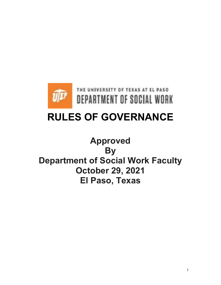

# **RULES OF GOVERNANCE**

## **Approved By Department of Social Work Faculty October 29, 2021 El Paso, Texas**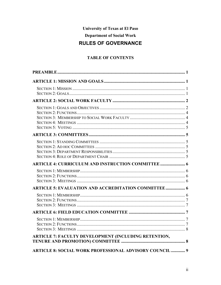## University of Texas at El Paso **Department of Social Work RULES OF GOVERNANCE**

## **TABLE OF CONTENTS**

| <b>ARTICLE 5: EVALUATION AND ACCREDITATION COMMITTEE 6</b>     |  |
|----------------------------------------------------------------|--|
|                                                                |  |
|                                                                |  |
|                                                                |  |
| ARTICLE 7: FACULTY DEVELOPMENT (INCLUDING RETENTION,           |  |
| <b>ARTICLE 8: SOCIAL WORK PROFESSIONAL ADVISORY COUNCIL  9</b> |  |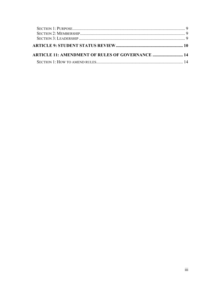| <b>ARTICLE 11: AMENDMENT OF RULES OF GOVERNANCE  14</b> |  |
|---------------------------------------------------------|--|
|                                                         |  |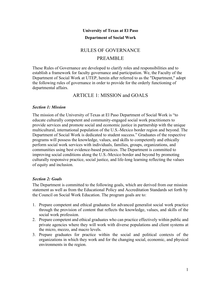## **University of Texas at El Paso Department of Social Work**

#### RULES OF GOVERNANCE

#### PREAMBLE

These Rules of Governance are developed to clarify roles and responsibilities and to establish a framework for faculty governance and participation. We, the Faculty of the Department of Social Work at UTEP, herein after referred to as the "Department," adopt the following rules of governance in order to provide for the orderly functioning of departmental affairs.

## ARTICLE 1: MISSION and GOALS

#### *Section 1: Mission*

The mission of the University of Texas at El Paso Department of Social Work is "to educate culturally competent and community-engaged social work practitioners to provide services and promote social and economic justice in partnership with the unique multicultural, international population of the U.S.-Mexico border region and beyond. The Department of Social Work is dedicated to student success." Graduates of the respective programs will possess the knowledge, values, and skills to competently and ethically perform social work services with individuals, families, groups, organizations, and communities using best evidence-based practices. The Department is committed to improving social conditions along the U.S.-Mexico border and beyond by promoting culturally responsive practice, social justice, and life-long learning reflecting the values of equity and inclusion.

#### *Section 2: Goals*

The Department is committed to the following goals, which are derived from our mission statement as well as from the Educational Policy and Accreditation Standards set forth by the Council on Social Work Education. The program goals are to:

- 1. Prepare competent and ethical graduates for advanced generalist social work practice through the provision of content that reflects the knowledge, values, and skills of the social work profession.
- 2. Prepare competent and ethical graduates who can practice effectively within public and private agencies where they will work with diverse populations and client systems at the micro, mezzo, and macro levels.
- 3. Prepare graduates for practice within the social and political contexts of the organizations in which they work and for the changing social, economic, and physical environments in the region.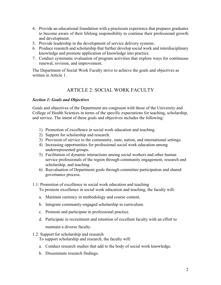- 4. Provide an educational foundation with a practicum experience that prepares graduates to become aware of their lifelong responsibility to continue their professional growth and development.
- 5. Provide leadership in the development of service delivery systems.
- 6. Produce research and scholarship that further develop social work and interdisciplinary knowledge and promote application of knowledge into practice.
- 7. Conduct systematic evaluation of program activities that explore ways for continuous renewal, revision, and improvement.

The Department of Social Work Faculty strive to achieve the goals and objectives as written in Article 1.

## ARTICLE 2: SOCIAL WORK FACULTY

#### *Section 1: Goals and Objectives*

Goals and objectives of the Department are congruent with those of the University and College of Health Sciences in terms of the specific expectations for teaching, scholarship, and service. The intent of these goals and objectives includes the following:

- 1) Promotion of excellence in social work education and teaching.
- 2) Support for scholarship and research.
- 3) Provision of service to the community, state, nation, and international settings.
- 4) Increasing opportunities for professional social work education among underrepresented groups.
- 5) Facilitation of dynamic interactions among social workers and other human service professionals of the region through community engagement, research and scholarship, and teaching.
- 6) Reevaluation of Department goals through committee participation and shared governance process.

#### 1.1: Promotion of excellence in social work education and teaching To promote excellence in social work education and teaching, the faculty will:

- a. Maintain currency in methodology and course content.
- b. Integrate community-engaged scholarship in curriculum.
- c. Promote and participate in professional practice.
- d. Participate in recruitment and retention of excellent faculty with an effort to maintain a diverse faculty.
- 1.2: Support for scholarship and research

To support scholarship and research, the faculty will:

- a. Conduct research studies that add to the body of social work knowledge.
- b. Disseminate research findings.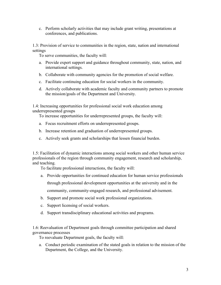c. Perform scholarly activities that may include grant writing, presentations at conferences, and publications.

1.3: Provision of service to communities in the region, state, nation and international settings

To serve communities, the faculty will:

- a. Provide expert support and guidance throughout community, state, nation, and international settings.
- b. Collaborate with community agencies for the promotion of social welfare.
- c. Facilitate continuing education for social workers in the community.
- d. Actively collaborate with academic faculty and community partners to promote the mission/goals of the Department and University.

1.4: Increasing opportunities for professional social work education among underrepresented groups

To increase opportunities for underrepresented groups, the faculty will:

- a. Focus recruitment efforts on underrepresented groups.
- b. Increase retention and graduation of underrepresented groups.
- c. Actively seek grants and scholarships that lessen financial burden.

1.5: Facilitation of dynamic interactions among social workers and other human service professionals of the region through community engagement, research and scholarship, and teaching.

To facilitate professional interactions, the faculty will:

- a. Provide opportunities for continued education for human service professionals through professional development opportunities at the university and in the community, community-engaged research, and professional advisement.
- b. Support and promote social work professional organizations.
- c. Support licensing of social workers.
- d. Support transdisciplinary educational activities and programs.

1.6: Reevaluation of Department goals through committee participation and shared governance processes

To reevaluate Department goals, the faculty will:

a. Conduct periodic examination of the stated goals in relation to the mission of the Department, the College, and the University.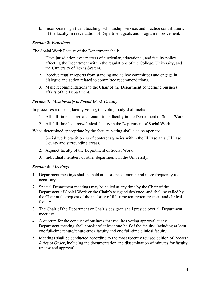b. Incorporate significant teaching, scholarship, service, and practice contributions of the faculty in reevaluation of Department goals and program improvement.

#### *Section 2: Functions*

The Social Work Faculty of the Department shall:

- 1. Have jurisdiction over matters of curricular, educational, and faculty policy affecting the Department within the regulations of the College, University, and the University of Texas System.
- 2. Receive regular reports from standing and ad hoc committees and engage in dialogue and action related to committee recommendations.
- 3. Make recommendations to the Chair of the Department concerning business affairs of the Department.

#### *Section 3: Membership to Social Work Faculty*

In processes requiring faculty voting, the voting body shall include:

- 1. All full-time tenured and tenure-track faculty in the Department of Social Work.
- 2. All full-time lecturers/clinical faculty in the Department of Social Work.

When determined appropriate by the faculty, voting shall also be open to:

- 1. Social work practitioners of contract agencies within the El Paso area (El Paso County and surrounding areas).
- 2. Adjunct faculty of the Department of Social Work.
- 3. Individual members of other departments in the University.

#### *Section 4: Meetings*

- 1. Department meetings shall be held at least once a month and more frequently as necessary.
- 2. Special Department meetings may be called at any time by the Chair of the Department of Social Work or the Chair's assigned designee, and shall be called by the Chair at the request of the majority of full-time tenure/tenure-track and clinical faculty.
- 3. The Chair of the Department or Chair's designee shall preside over all Department meetings.
- 4. A quorum for the conduct of business that requires voting approval at any Department meeting shall consist of at least one-half of the faculty, including at least one full-time tenure/tenure-track faculty and one full-time clinical faculty.
- 5. Meetings shall be conducted according to the most recently revised edition of *Roberts Rules of Order*, including the documentation and dissemination of minutes for faculty review and approval.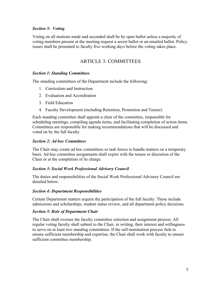#### *Section 5: Voting*

Voting on all motions made and seconded shall be by open ballot unless a majority of voting members present at the meeting request a secret ballot or an emailed ballot. Policy issues shall be presented to faculty five working days before the voting takes place.

## ARTICLE 3: COMMITTEES

#### *Section 1: Standing Committees*

The standing committees of the Department include the following:

- 1. Curriculum and Instruction
- 2. Evaluation and Accreditation
- 3. Field Education
- 4. Faculty Development (including Retention, Promotion and Tenure)

Each standing committee shall appoint a chair of the committee, responsible for scheduling meetings, compiling agenda items, and facilitating completion of action items. Committees are responsible for making recommendations that will be discussed and voted on by the full faculty.

#### *Section 2: Ad hoc Committees*

The Chair may create ad hoc committees or task forces to handle matters on a temporary basis. Ad hoc committee assignments shall expire with the tenure or discretion of the Chair or at the completion of its charge.

#### *Section 3: Social Work Professional Advisory Council*

The duties and responsibilities of the Social Work Professional Advisory Council are detailed below.

#### *Section 4: Department Responsibilities*

Certain Department matters require the participation of the full faculty. These include admissions and scholarships, student status review, and all department policy decisions.

#### *Section 5: Role of Department Chair*

The Chair shall oversee the faculty committee selection and assignment process. All regular voting faculty shall submit to the Chair, in writing, their interest and willingness to serve on at least two standing committees. If the self-nomination process fails to ensure sufficient membership and expertise, the Chair shall work with faculty to ensure sufficient committee membership.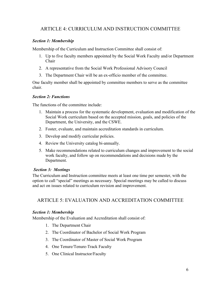## ARTICLE 4: CURRICULUM AND INSTRUCTION COMMITTEE

#### *Section 1: Membership*

Membership of the Curriculum and Instruction Committee shall consist of:

- 1. Up to five faculty members appointed by the Social Work Faculty and/or Department Chair
- 2. A representative from the Social Work Professional Advisory Council
- 3. The Department Chair will be an ex-officio member of the committee.

One faculty member shall be appointed by committee members to serve as the committee chair.

#### *Section 2: Functions*

The functions of the committee include:

- 1. Maintain a process for the systematic development, evaluation and modification of the Social Work curriculum based on the accepted mission, goals, and policies of the Department, the University, and the CSWE.
- 2. Foster, evaluate, and maintain accreditation standards in curriculum.
- 3. Develop and modify curricular policies.
- 4. Review the University catalog bi-annually.
- 5. Make recommendations related to curriculum changes and improvement to the social work faculty, and follow up on recommendations and decisions made by the Department.

#### *Section 3: Meetings*

The Curriculum and Instruction committee meets at least one time per semester, with the option to call "special" meetings as necessary. Special meetings may be called to discuss and act on issues related to curriculum revision and improvement.

## ARTICLE 5: EVALUATION AND ACCREDITATION COMMITTEE

#### *Section 1: Membership*

Membership of the Evaluation and Accreditation shall consist of:

- 1. The Department Chair
- 2. The Coordinator of Bachelor of Social Work Program
- 3. The Coordinator of Master of Social Work Program
- 4. One Tenure/Tenure-Track Faculty
- 5. One Clinical Instructor/Faculty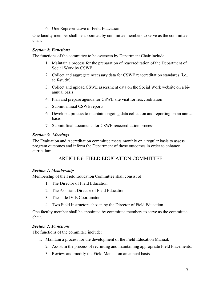6. One Representative of Field Education

One faculty member shall be appointed by committee members to serve as the committee chair.

#### *Section 2: Functions*

The functions of the committee to be overseen by Department Chair include:

- 1. Maintain a process for the preparation of reaccreditation of the Department of Social Work by CSWE.
- 2. Collect and aggregate necessary data for CSWE reaccreditation standards (i.e., self-study)
- 3. Collect and upload CSWE assessment data on the Social Work website on a biannual basis
- 4. Plan and prepare agenda for CSWE site visit for reaccreditation
- 5. Submit annual CSWE reports
- 6. Develop a process to maintain ongoing data collection and reporting on an annual basis
- 7. Submit final documents for CSWE reaccreditation process

#### *Section 3: Meetings*

The Evaluation and Accreditation committee meets monthly on a regular basis to assess program outcomes and inform the Department of those outcomes in order to enhance curriculum.

## ARTICLE 6: FIELD EDUCATION COMMITTEE

#### *Section 1: Membership*

Membership of the Field Education Committee shall consist of:

- 1. The Director of Field Education
- 2. The Assistant Director of Field Education
- 3. The Title IV-E Coordinator
- 4. Two Field Instructors chosen by the Director of Field Education

One faculty member shall be appointed by committee members to serve as the committee chair.

#### *Section 2: Functions*

The functions of the committee include:

- 1. Maintain a process for the development of the Field Education Manual.
	- 2. Assist in the process of recruiting and maintaining appropriate Field Placements.
	- 3. Review and modify the Field Manual on an annual basis.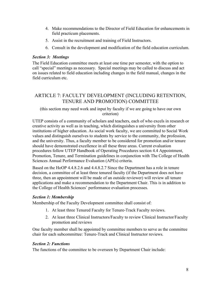- 4. Make recommendations to the Director of Field Education for enhancements in field practicum placements.
- 5. Assist in the recruitment and training of Field Instructors.
- 6. Consult in the development and modification of the field education curriculum.

#### *Section 3: Meetings*

The Field Education committee meets at least one time per semester, with the option to call "special" meetings as necessary. Special meetings may be called to discuss and act on issues related to field education including changes in the field manual, changes in the field curriculum etc.

## ARTICLE 7: FACULTY DEVELOPMENT (INCLUDING RETENTION, TENURE AND PROMOTION) COMMITTEE

(this section may need work and input by faculty if we are going to have our own criterion)

UTEP consists of a community of scholars and teachers, each of who excels in research or creative activity as well as in teaching, which distinguishes a university from other institutions of higher education. As social work faculty, we are committed to Social Work values and distinguish ourselves to students by service to the community, the profession, and the university. Thus, a faculty member to be considered for promotion and/or tenure should have demonstrated excellence in all these three areas. Current evaluation procedures follow UTEP Handbook of Operating Procedures section 4.4 Appointment, Promotion, Tenure, and Termination guidelines in conjunction with The College of Health Sciences Annual Performance Evaluation (APEs) criteria.

Based on the HoOP 4.4.8.2.6 and 4.4.8.2.7 Since the Department has a role in tenure decision, a committee of at least three tenured faculty (if the Department does not have three, then an appointment will be made of an outside reviewer) will review all tenure applications and make a recommendation to the Department Chair. This is in addition to the College of Health Sciences' performance evaluation processes.

#### *Section 1: Membership*

Membership of the Faculty Development committee shall consist of:

- 1. At least three Tenured Faculty for Tenure-Track Faculty reviews.
- 2. At least three Clinical Instructors/Faculty to review Clinical Instructor/Faculty promotion and reviews

One faculty member shall be appointed by committee members to serve as the committee chair for each subcommittee: Tenure-Track and Clinical Instructor reviews.

#### *Section 2: Functions*

The functions of the committee to be overseen by Department Chair include: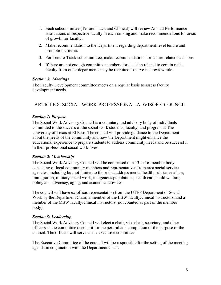- 1. Each subcommittee (Tenure-Track and Clinical) will review Annual Performance Evaluations of respective faculty in each ranking and make recommendations for areas of growth for faculty.
- 2. Make recommendation to the Department regarding department-level tenure and promotion criteria.
- 3. For Tenure-Track subcommittee, make recommendations for tenure-related decisions.
- 4. If there are not enough committee members for decision related to certain ranks, faculty from other departments may be recruited to serve in a review role.

#### *Section 3: Meetings*

The Faculty Development committee meets on a regular basis to assess faculty development needs.

## ARTICLE 8: SOCIAL WORK PROFESSIONAL ADVISORY COUNCIL

## *Section 1: Purpose*

The Social Work Advisory Council is a voluntary and advisory body of individuals committed to the success of the social work students, faculty, and program at The University of Texas at El Paso. The council will provide guidance to the Department about the needs of the community and how the Department might enhance the educational experience to prepare students to address community needs and be successful in their professional social work lives.

#### *Section 2: Membership*

The Social Work Advisory Council will be comprised of a 13 to 16-member body consisting of local community members and representatives from area social service agencies, including but not limited to those that address mental health, substance abuse, immigration, military social work, indigenous populations, health care, child welfare, policy and advocacy, aging, and academic activities.

The council will have ex-officio representation from the UTEP Department of Social Work by the Department Chair, a member of the BSW faculty/clinical instructors, and a member of the MSW faculty/clinical instructors (not counted as part of the member body).

#### *Section 3: Leadership*

The Social Work Advisory Council will elect a chair, vice chair, secretary, and other officers as the committee deems fit for the perusal and completion of the purpose of the council. The officers will serve as the executive committee.

The Executive Committee of the council will be responsible for the setting of the meeting agenda in conjunction with the Department Chair.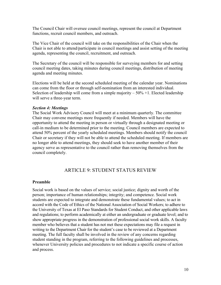The Council Chair will oversee council meetings, represent the council at Department functions, recruit council members, and outreach.

The Vice Chair of the council will take on the responsibilities of the Chair when the Chair is not able to attend/participate in council meetings and assist setting of the meeting agenda, representing the council, recruitment, and outreach.

The Secretary of the council will be responsible for surveying members for and setting council meeting dates, taking minutes during council meetings, distribution of meeting agenda and meeting minutes.

Elections will be held at the second scheduled meeting of the calendar year. Nominations can come from the floor or through self-nomination from an interested individual. Selection of leadership will come from a simple majority  $-50\% +1$ . Elected leadership will serve a three-year term.

#### *Section 4: Meetings*

The Social Work Advisory Council will meet at a minimum quarterly. The committee Chair may convene meetings more frequently if needed. Members will have the opportunity to attend the meeting in person or virtually through a designated meeting or call-in medium to be determined prior to the meeting. Council members are expected to attend 50% percent of the yearly scheduled meetings. Members should notify the council Chair or secretary if they will not be able to attend the scheduled meeting. If members are no longer able to attend meetings, they should seek to have another member of their agency serve as representative to the council rather than removing themselves from the council completely.

#### ARTICLE 9: STUDENT STATUS REVIEW

#### **Preamble**

Social work is based on the values of service; social justice; dignity and worth of the person; importance of human relationships; integrity; and competence. Social work students are expected to integrate and demonstrate these fundamental values; to act in accord with the Code of Ethics of the National Association of Social Workers; to adhere to the University of Texas at El Paso Standards for Student Conduct, and other applicable laws and regulations; to perform academically at either an undergraduate or graduate level; and to show appropriate progress in the demonstration of professional social work skills. A faculty member who believes that a student has not met these expectations may file a request in writing to the Department Chair for the student's case to be reviewed at a Department meeting. The full faculty shall be involved in the review of any concerns regarding student standing in the program, referring to the following guidelines and processes, whenever University policies and procedures to not indicate a specific course of action and process.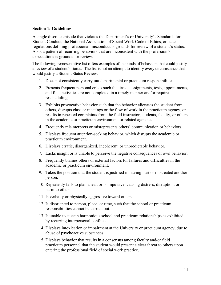#### **Section 1: Guidelines**

A single discrete episode that violates the Department's or University's Standards for Student Conduct, the National Association of Social Work Code of Ethics, or state regulations defining professional misconduct is grounds for review of a student's status. Also, a pattern of recurring behaviors that are inconsistent with the profession's expectations is grounds for review.

The following representative list offers examples of the kinds of behaviors that could justify a review of a student's status. The list is not an attempt to identify every circumstance that would justify a Student Status Review.

- 1. Does not consistently carry out departmental or practicum responsibilities.
- 2. Presents frequent personal crises such that tasks, assignments, tests, appointments, and field activities are not completed in a timely manner and/or require rescheduling.
- 3. Exhibits provocative behavior such that the behavior alienates the student from others, disrupts class or meetings or the flow of work in the practicum agency, or results in repeated complaints from the field instructor, students, faculty, or others in the academic or practicum environment or related agencies.
- 4. Frequently misinterprets or misrepresents others' communication or behaviors.
- 5. Displays frequent attention-seeking behavior, which disrupts the academic or practicum environment.
- 6. Displays erratic, disorganized, incoherent, or unpredictable behavior.
- 7. Lacks insight or is unable to perceive the negative consequences of own behavior.
- 8. Frequently blames others or external factors for failures and difficulties in the academic or practicum environment.
- 9. Takes the position that the student is justified in having hurt or mistreated another person.
- 10. Repeatedly fails to plan ahead or is impulsive, causing distress, disruption, or harm to others.
- 11. Is verbally or physically aggressive toward others.
- 12. Is disoriented to person, place, or time, such that the school or practicum responsibilities cannot be carried out.
- 13. Is unable to sustain harmonious school and practicum relationships as exhibited by recurring interpersonal conflicts.
- 14. Displays intoxication or impairment at the University or practicum agency, due to abuse of psychoactive substances.
- 15. Displays behavior that results in a consensus among faculty and/or field practicum personnel that the student would present a clear threat to others upon entering the professional field of social work practice.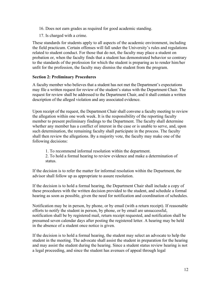- 16. Does not earn grades as required for good academic standing.
- 17. Is charged with a crime.

These standards for students apply to all aspects of the academic environment, including the field practicum. Certain offenses will fall under the University's rules and regulations related to student conduct. For those that do not, the faculty may place a student on probation or, when the faculty finds that a student has demonstrated behavior so contrary to the standards of the profession for which the student is preparing as to render him/her unfit for the profession, the faculty may dismiss the student from the program.

#### **Section 2: Preliminary Procedures**

A faculty member who believes that a student has not met the Department's expectations may file a written request for review of the student's status with the Department Chair. The request for review shall be addressed to the Department Chair, and it shall contain a written description of the alleged violation and any associated evidence.

Upon receipt of the request, the Department Chair shall convene a faculty meeting to review the allegation within one work week. It is the responsibility of the reporting faculty member to present preliminary findings to the Department. The faculty shall determine whether any member has a conflict of interest in the case or is unable to serve, and, upon such determination, the remaining faculty shall participate in the process. The faculty shall then review the allegations. By a majority vote, the faculty may make one of the following decisions:

1. To recommend informal resolution within the department.

2. To hold a formal hearing to review evidence and make a determination of status.

If the decision is to refer the matter for informal resolution within the Department, the advisor shall follow up as appropriate to assure resolution.

If the decision is to hold a formal hearing, the Department Chair shall include a copy of these procedures with the written decision provided to the student, and schedule a formal hearing as soon as possible, given the need for notification and coordination of schedules.

Notification may be in person, by phone, or by email (with a return receipt). If reasonable efforts to notify the student in person, by phone, or by email are unsuccessful, notification shall be by registered mail, return receipt requested, and notification shall be presumed seven calendar days after posting the registered letter. A hearing may be held in the absence of a student once notice is given.

If the decision is to hold a formal hearing, the student may select an advocate to help the student in the meeting. The advocate shall assist the student in preparation for the hearing and may assist the student during the hearing. Since a student status review hearing is not a legal proceeding, and since the student has avenues of appeal through legal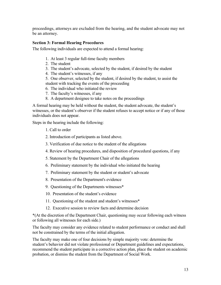proceedings, attorneys are excluded from the hearing, and the student advocate may not be an attorney.

#### **Section 3: Formal Hearing Procedures**

The following individuals are expected to attend a formal hearing:

- 1. At least 3 regular full-time faculty members
- 2. The student
- 3. The student's advocate, selected by the student, if desired by the student
- 4. The student's witnesses, if any
- 5. One observer, selected by the student, if desired by the student, to assist the student with tracking the events of the proceeding
- 6. The individual who initiated the review
- 7. The faculty's witnesses, if any
- 8. A department designee to take notes on the proceedings

A formal hearing may be held without the student, the student advocate, the student's witnesses, or the student's observer if the student refuses to accept notice or if any of those individuals does not appear.

Steps in the hearing include the following:

- 1. Call to order
- 2. Introduction of participants as listed above.
- 3. Verification of due notice to the student of the allegations
- 4. Review of hearing procedures, and disposition of procedural questions, if any
- 5. Statement by the Department Chair of the allegations
- 6. Preliminary statement by the individual who initiated the hearing
- 7. Preliminary statement by the student or student's advocate
- 8. Presentation of the Department's evidence
- 9. Questioning of the Departments witnesses\*
- 10. Presentation of the student's evidence
- 11. Questioning of the student and student's witnesses\*
- 12. Executive session to review facts and determine decision

\*(At the discretion of the Department Chair, questioning may occur following each witness or following all witnesses for each side.)

The faculty may consider any evidence related to student performance or conduct and shall not be constrained by the terms of the initial allegation.

The faculty may make one of four decisions by simple majority vote: determine the student's behavior did not violate professional or Department guidelines and expectations, recommend the student participate in a corrective action plan, place the student on academic probation, or dismiss the student from the Department of Social Work.